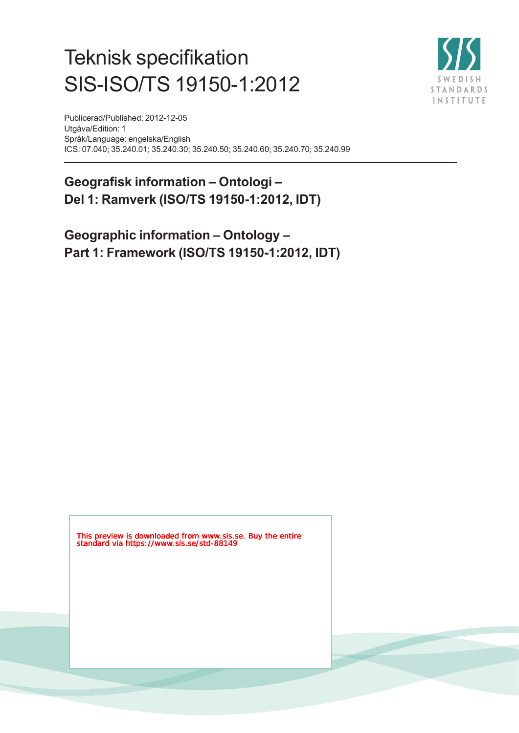# Teknisk specifikation SIS-ISO/TS 19150-1:2012



Publicerad/Published: 2012-12-05 Utgåva/Edition: 1 Språk/Language: engelska/English ICS: 07.040; 35.240.01; 35.240.30; 35.240.50; 35.240.60; 35.240.70; 35.240.99

**Geografisk information – Ontologi – Del 1: Ramverk (ISO/TS 19150-1:2012, IDT)**

**Geographic information – Ontology – Part 1: Framework (ISO/TS 19150-1:2012, IDT)**

This preview is downloaded from www.sis.se. Buy the entire standard via https://www.sis.se/std-88149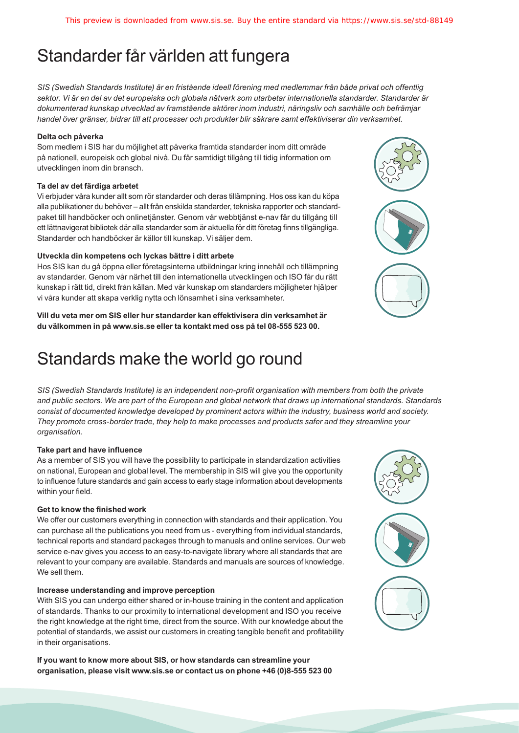# Standarder får världen att fungera

*SIS (Swedish Standards Institute) är en fristående ideell förening med medlemmar från både privat och offentlig sektor. Vi är en del av det europeiska och globala nätverk som utarbetar internationella standarder. Standarder är dokumenterad kunskap utvecklad av framstående aktörer inom industri, näringsliv och samhälle och befrämjar handel över gränser, bidrar till att processer och produkter blir säkrare samt effektiviserar din verksamhet.* 

#### **Delta och påverka**

Som medlem i SIS har du möjlighet att påverka framtida standarder inom ditt område på nationell, europeisk och global nivå. Du får samtidigt tillgång till tidig information om utvecklingen inom din bransch.

#### **Ta del av det färdiga arbetet**

Vi erbjuder våra kunder allt som rör standarder och deras tillämpning. Hos oss kan du köpa alla publikationer du behöver – allt från enskilda standarder, tekniska rapporter och standardpaket till handböcker och onlinetjänster. Genom vår webbtjänst e-nav får du tillgång till ett lättnavigerat bibliotek där alla standarder som är aktuella för ditt företag finns tillgängliga. Standarder och handböcker är källor till kunskap. Vi säljer dem.

#### **Utveckla din kompetens och lyckas bättre i ditt arbete**

Hos SIS kan du gå öppna eller företagsinterna utbildningar kring innehåll och tillämpning av standarder. Genom vår närhet till den internationella utvecklingen och ISO får du rätt kunskap i rätt tid, direkt från källan. Med vår kunskap om standarders möjligheter hjälper vi våra kunder att skapa verklig nytta och lönsamhet i sina verksamheter.

**Vill du veta mer om SIS eller hur standarder kan effektivisera din verksamhet är du välkommen in på www.sis.se eller ta kontakt med oss på tel 08-555 523 00.**

# Standards make the world go round

*SIS (Swedish Standards Institute) is an independent non-profit organisation with members from both the private and public sectors. We are part of the European and global network that draws up international standards. Standards consist of documented knowledge developed by prominent actors within the industry, business world and society. They promote cross-border trade, they help to make processes and products safer and they streamline your organisation.*

#### **Take part and have influence**

As a member of SIS you will have the possibility to participate in standardization activities on national, European and global level. The membership in SIS will give you the opportunity to influence future standards and gain access to early stage information about developments within your field.

#### **Get to know the finished work**

We offer our customers everything in connection with standards and their application. You can purchase all the publications you need from us - everything from individual standards, technical reports and standard packages through to manuals and online services. Our web service e-nav gives you access to an easy-to-navigate library where all standards that are relevant to your company are available. Standards and manuals are sources of knowledge. We sell them.

#### **Increase understanding and improve perception**

With SIS you can undergo either shared or in-house training in the content and application of standards. Thanks to our proximity to international development and ISO you receive the right knowledge at the right time, direct from the source. With our knowledge about the potential of standards, we assist our customers in creating tangible benefit and profitability in their organisations.

**If you want to know more about SIS, or how standards can streamline your organisation, please visit www.sis.se or contact us on phone +46 (0)8-555 523 00**



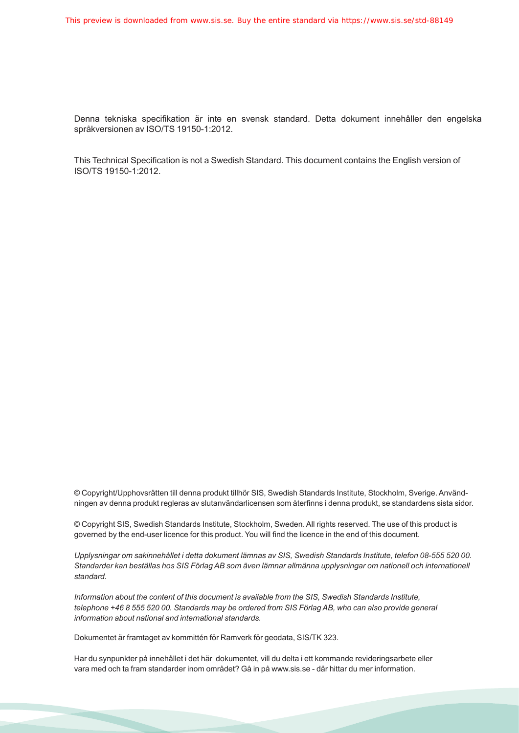Denna tekniska specifikation är inte en svensk standard. Detta dokument innehåller den engelska språkversionen av ISO/TS 19150-1:2012.

This Technical Specification is not a Swedish Standard. This document contains the English version of ISO/TS 19150-1:2012.

© Copyright/Upphovsrätten till denna produkt tillhör SIS, Swedish Standards Institute, Stockholm, Sverige. Användningen av denna produkt regleras av slutanvändarlicensen som återfinns i denna produkt, se standardens sista sidor.

© Copyright SIS, Swedish Standards Institute, Stockholm, Sweden. All rights reserved. The use of this product is governed by the end-user licence for this product. You will find the licence in the end of this document.

*Upplysningar om sakinnehållet i detta dokument lämnas av SIS, Swedish Standards Institute, telefon 08-555 520 00.*  Standarder kan beställas hos SIS Förlag AB som även lämnar allmänna upplysningar om nationell och internationell *standard.*

*Information about the content of this document is available from the SIS, Swedish Standards Institute, telephone +46 8 555 520 00. Standards may be ordered from SIS Förlag AB, who can also provide general information about national and international standards.*

Dokumentet är framtaget av kommittén för Ramverk för geodata, SIS/TK 323.

Har du synpunkter på innehållet i det här dokumentet, vill du delta i ett kommande revideringsarbete eller vara med och ta fram standarder inom området? Gå in på www.sis.se - där hittar du mer information.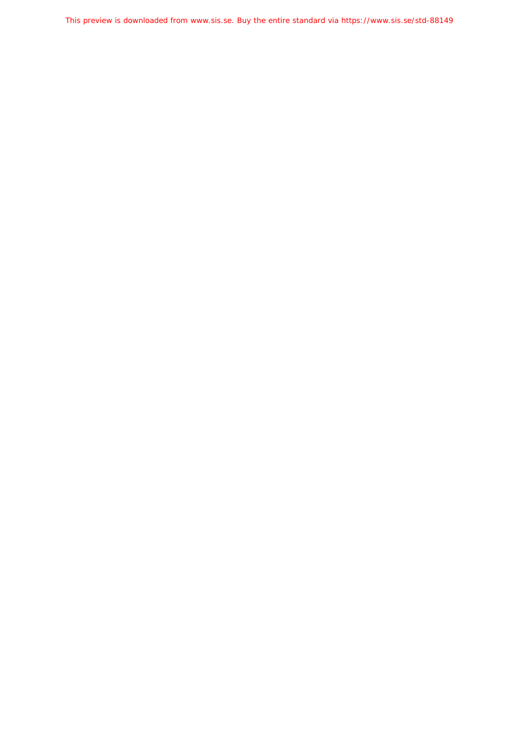This preview is downloaded from www.sis.se. Buy the entire standard via https://www.sis.se/std-88149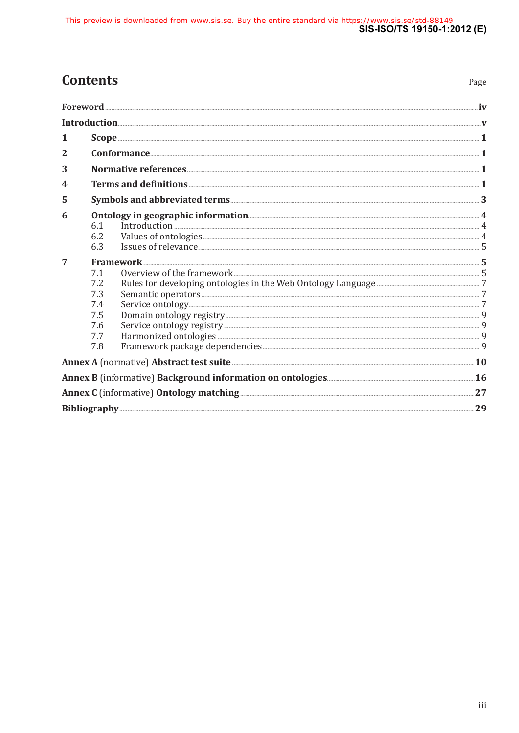# **Contents**

|   | $\textbf{For} \textbf{word} \textcolor{red}{} \textcolor{red}{} \textcolor{red}{iv} \textcolor{red}{iv}$                                                                                                                                                                                                                                                                                                                                                                |                                                              |  |
|---|-------------------------------------------------------------------------------------------------------------------------------------------------------------------------------------------------------------------------------------------------------------------------------------------------------------------------------------------------------------------------------------------------------------------------------------------------------------------------|--------------------------------------------------------------|--|
|   |                                                                                                                                                                                                                                                                                                                                                                                                                                                                         |                                                              |  |
| 1 |                                                                                                                                                                                                                                                                                                                                                                                                                                                                         |                                                              |  |
| 2 | $\textbf{Conformance} \textcolor{red}{}\textcolor{red}{\boldsymbol{1}} \textcolor{red}{\boldsymbol{2}} \textcolor{red}{\boldsymbol{3}} \textcolor{red}{\boldsymbol{4}} \textcolor{red}{\boldsymbol{5}} \textcolor{red}{\boldsymbol{7}} \textcolor{red}{\boldsymbol{6}} \textcolor{red}{\boldsymbol{7}} \textcolor{red}{\boldsymbol{6}} \textcolor{red}{\boldsymbol{7}} \textcolor{red}{\boldsymbol{1}} \textcolor{red}{\boldsymbol{1}} \textcolor{red}{\boldsymbol{1}}$ |                                                              |  |
| 3 |                                                                                                                                                                                                                                                                                                                                                                                                                                                                         |                                                              |  |
| 4 | Terms and definitions <b>Exercise According to the Contract of According Contract and According to the According Contract of According Contract of According Contract of According Contract of According Contract of According C</b>                                                                                                                                                                                                                                    |                                                              |  |
| 5 |                                                                                                                                                                                                                                                                                                                                                                                                                                                                         |                                                              |  |
| 6 | Ontology in geographic information <b>Manufacture of the Contract of Australian Contract of Australian Contract of Australian Contract of Australian Contract of Australian Contract of Australian Contract of Australian Contra</b>                                                                                                                                                                                                                                    |                                                              |  |
|   | 6.1                                                                                                                                                                                                                                                                                                                                                                                                                                                                     |                                                              |  |
|   | 6.2                                                                                                                                                                                                                                                                                                                                                                                                                                                                     |                                                              |  |
|   | 6.3                                                                                                                                                                                                                                                                                                                                                                                                                                                                     |                                                              |  |
| 7 |                                                                                                                                                                                                                                                                                                                                                                                                                                                                         |                                                              |  |
|   | 7.1                                                                                                                                                                                                                                                                                                                                                                                                                                                                     |                                                              |  |
|   | 7.2                                                                                                                                                                                                                                                                                                                                                                                                                                                                     |                                                              |  |
|   | 7.3                                                                                                                                                                                                                                                                                                                                                                                                                                                                     |                                                              |  |
|   | 7.4                                                                                                                                                                                                                                                                                                                                                                                                                                                                     |                                                              |  |
|   | 7.5                                                                                                                                                                                                                                                                                                                                                                                                                                                                     |                                                              |  |
|   | 7.6                                                                                                                                                                                                                                                                                                                                                                                                                                                                     |                                                              |  |
|   | 7.7                                                                                                                                                                                                                                                                                                                                                                                                                                                                     |                                                              |  |
|   | 7.8                                                                                                                                                                                                                                                                                                                                                                                                                                                                     |                                                              |  |
|   |                                                                                                                                                                                                                                                                                                                                                                                                                                                                         |                                                              |  |
|   |                                                                                                                                                                                                                                                                                                                                                                                                                                                                         |                                                              |  |
|   |                                                                                                                                                                                                                                                                                                                                                                                                                                                                         | Annex C (informative) Ontology matching <b>Example 27</b> 27 |  |
|   |                                                                                                                                                                                                                                                                                                                                                                                                                                                                         |                                                              |  |

Page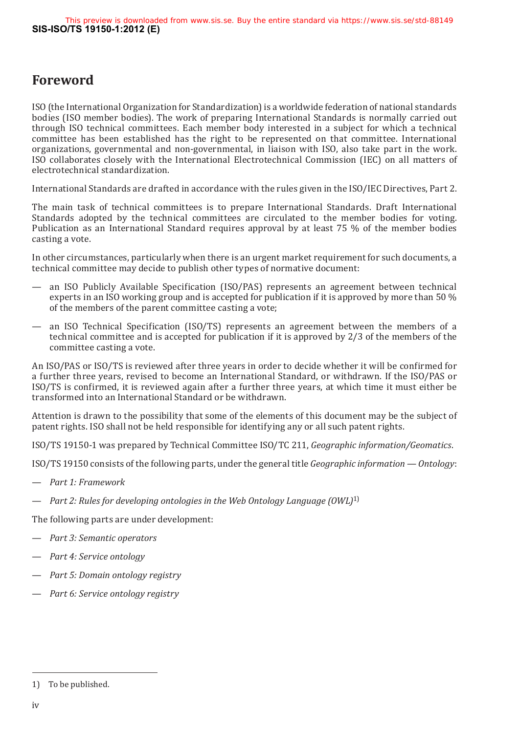# <span id="page-5-0"></span>**Foreword**

ISO (the International Organization for Standardization) is a worldwide federation of national standards bodies (ISO member bodies). The work of preparing International Standards is normally carried out through ISO technical committees. Each member body interested in a subject for which a technical committee has been established has the right to be represented on that committee. International organizations, governmental and non-governmental, in liaison with ISO, also take part in the work. ISO collaborates closely with the International Electrotechnical Commission (IEC) on all matters of electrotechnical standardization.

International Standards are drafted in accordance with the rules given in the ISO/IEC Directives, Part 2.

The main task of technical committees is to prepare International Standards. Draft International Standards adopted by the technical committees are circulated to the member bodies for voting. Publication as an International Standard requires approval by at least 75 % of the member bodies casting a vote.

In other circumstances, particularly when there is an urgent market requirement for such documents, a technical committee may decide to publish other types of normative document:

- an ISO Publicly Available Specification (ISO/PAS) represents an agreement between technical experts in an ISO working group and is accepted for publication if it is approved by more than 50 % of the members of the parent committee casting a vote;
- an ISO Technical Specification (ISO/TS) represents an agreement between the members of a technical committee and is accepted for publication if it is approved by 2/3 of the members of the committee casting a vote.

An ISO/PAS or ISO/TS is reviewed after three years in order to decide whether it will be confirmed for a further three years, revised to become an International Standard, or withdrawn. If the ISO/PAS or ISO/TS is confirmed, it is reviewed again after a further three years, at which time it must either be transformed into an International Standard or be withdrawn.

Attention is drawn to the possibility that some of the elements of this document may be the subject of patent rights. ISO shall not be held responsible for identifying any or all such patent rights.

ISO/TS 19150-1 was prepared by Technical Committee ISO/TC 211, *Geographic information/Geomatics*.

ISO/TS 19150 consists of the following parts, under the general title *Geographic information — Ontology*:

- *Part 1: Framework*
- *Part 2: Rules for developing ontologies in the Web Ontology Language (OWL)*1)

The following parts are under development:

- *Part 3: Semantic operators*
- *Part 4: Service ontology*
- *Part 5: Domain ontology registry*
- *Part 6: Service ontology registry*

<sup>1)</sup> To be published.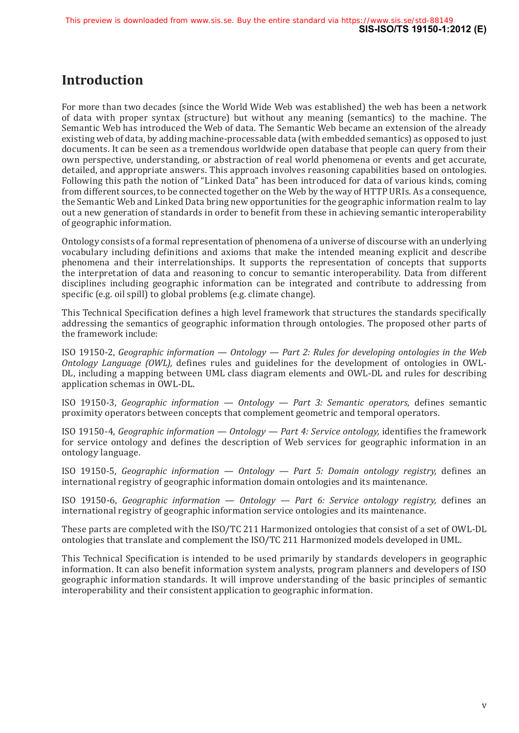# <span id="page-6-0"></span>**Introduction**

For more than two decades (since the World Wide Web was established) the web has been a network of data with proper syntax (structure) but without any meaning (semantics) to the machine. The Semantic Web has introduced the Web of data. The Semantic Web became an extension of the already existing web of data, by adding machine-processable data (with embedded semantics) as opposed to just documents. It can be seen as a tremendous worldwide open database that people can query from their own perspective, understanding, or abstraction of real world phenomena or events and get accurate, detailed, and appropriate answers. This approach involves reasoning capabilities based on ontologies. Following this path the notion of "Linked Data" has been introduced for data of various kinds, coming from different sources, to be connected together on the Web by the way of HTTP URIs. As a consequence, the Semantic Web and Linked Data bring new opportunities for the geographic information realm to lay out a new generation of standards in order to benefit from these in achieving semantic interoperability of geographic information.

Ontology consists of a formal representation of phenomena of a universe of discourse with an underlying vocabulary including definitions and axioms that make the intended meaning explicit and describe phenomena and their interrelationships. It supports the representation of concepts that supports the interpretation of data and reasoning to concur to semantic interoperability. Data from different disciplines including geographic information can be integrated and contribute to addressing from specific (e.g. oil spill) to global problems (e.g. climate change).

This Technical Specification defines a high level framework that structures the standards specifically addressing the semantics of geographic information through ontologies. The proposed other parts of the framework include:

ISO 19150‑2, *Geographic information — Ontology — Part 2: Rules for developing ontologies in the Web Ontology Language (OWL),* defines rules and guidelines for the development of ontologies in OWL-DL, including a mapping between UML class diagram elements and OWL-DL and rules for describing application schemas in OWL-DL.

ISO 19150‑3, *Geographic information — Ontology — Part 3: Semantic operators,* defines semantic proximity operators between concepts that complement geometric and temporal operators.

ISO 19150‑4, *Geographic information — Ontology — Part 4: Service ontology,* identifies the framework for service ontology and defines the description of Web services for geographic information in an ontology language.

ISO 19150‑5, *Geographic information — Ontology — Part 5: Domain ontology registry,* defines an international registry of geographic information domain ontologies and its maintenance.

ISO 19150‑6, *Geographic information — Ontology — Part 6: Service ontology registry,* defines an international registry of geographic information service ontologies and its maintenance.

These parts are completed with the ISO/TC 211 Harmonized ontologies that consist of a set of OWL-DL ontologies that translate and complement the ISO/TC 211 Harmonized models developed in UML.

This Technical Specification is intended to be used primarily by standards developers in geographic information. It can also benefit information system analysts, program planners and developers of ISO geographic information standards. It will improve understanding of the basic principles of semantic interoperability and their consistent application to geographic information.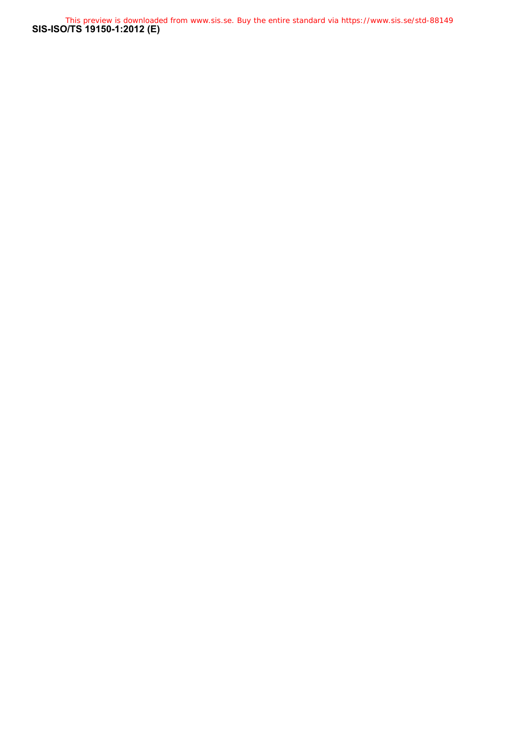**SIS-ISO/TS 19150-1:2012 (E)** This preview is downloaded from www.sis.se. Buy the entire standard via https://www.sis.se/std-88149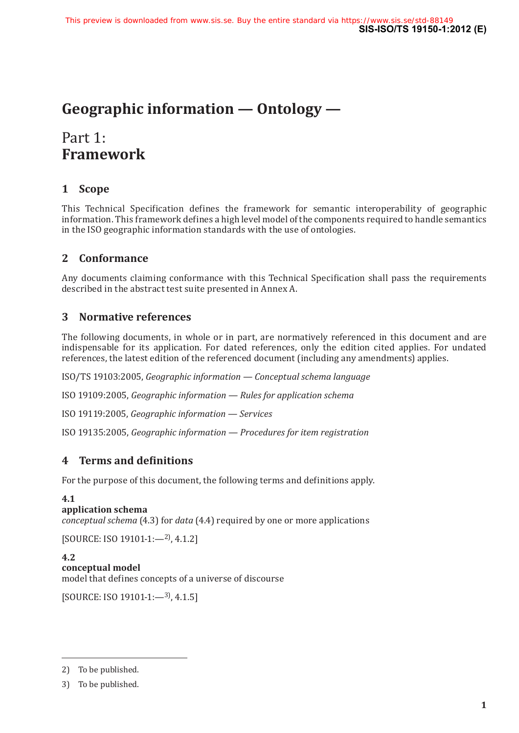# <span id="page-8-0"></span>**Geographic information — Ontology —**

# Part 1: **Framework**

## **1 Scope**

This Technical Specification defines the framework for semantic interoperability of geographic information. This framework defines a high level model of the components required to handle semantics in the ISO geographic information standards with the use of ontologies.

### **2 Conformance**

Any documents claiming conformance with this Technical Specification shall pass the requirements described in the abstract test suite presented in Annex A.

### **3 Normative references**

The following documents, in whole or in part, are normatively referenced in this document and are indispensable for its application. For dated references, only the edition cited applies. For undated references, the latest edition of the referenced document (including any amendments) applies.

ISO/TS 19103:2005, *Geographic information — Conceptual schema language*

ISO 19109:2005, *Geographic information — Rules for application schema*

ISO 19119:2005, *Geographic information — Services*

ISO 19135:2005, *Geographic information — Procedures for item registration*

### **4 Terms and definitions**

For the purpose of this document, the following terms and definitions apply.

#### **4.1**

#### **application schema**

*conceptual schema* (4.3) for *data* (4.4) required by one or more applications

[SOURCE: ISO 19101-1:—2), 4.1.2]

#### **4.2 conceptual model** model that defines concepts of a universe of discourse

[SOURCE: ISO 19101-1:—3), 4.1.5]

<sup>2)</sup> To be published.

<sup>3)</sup> To be published.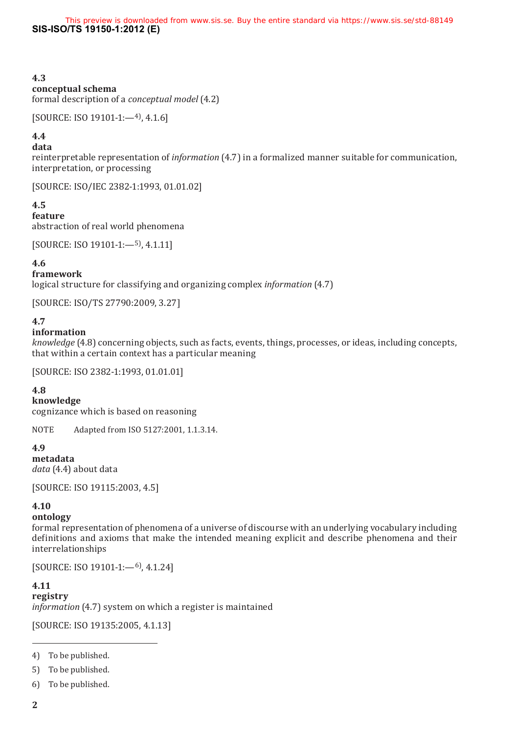**SIS-ISO/TS 19150-1:2012 (E)** This preview is downloaded from www.sis.se. Buy the entire standard via https://www.sis.se/std-88149

#### **4.3**

#### **conceptual schema**

formal description of a *conceptual model* (4.2)

 $[SOURCE: ISO 19101-1:—4, 4.1.6]$ 

#### **4.4**

**data**

reinterpretable representation of *information* (4.7) in a formalized manner suitable for communication, interpretation, or processing

[SOURCE: ISO/IEC 2382-1:1993, 01.01.02]

#### **4.5**

#### **feature**

abstraction of real world phenomena

[SOURCE: ISO 19101-1:-5<sup>5</sup>], 4.1.11]

#### **4.6**

#### **framework**

logical structure for classifying and organizing complex *information* (4.7)

[SOURCE: ISO/TS 27790:2009, 3.27]

#### **4.7**

#### **information**

*knowledge* (4.8) concerning objects, such as facts, events, things, processes, or ideas, including concepts, that within a certain context has a particular meaning

[SOURCE: ISO 2382-1:1993, 01.01.01]

#### **4.8**

**knowledge**

cognizance which is based on reasoning

NOTE Adapted from ISO 5127:2001, 1.1.3.14.

#### **4.9**

**metadata**

*data* (4.4) about data

[SOURCE: ISO 19115:2003, 4.5]

#### **4.10**

#### **ontology**

formal representation of phenomena of a universe of discourse with an underlying vocabulary including definitions and axioms that make the intended meaning explicit and describe phenomena and their interrelationships

[SOURCE: ISO 19101-1:-6<sup>6</sup>, 4.1.24]

#### **4.11**

#### **registry**

*information* (4.7) system on which a register is maintained

[SOURCE: ISO 19135:2005, 4.1.13]

<sup>4)</sup> To be published.

<sup>5)</sup> To be published.

<sup>6)</sup> To be published.